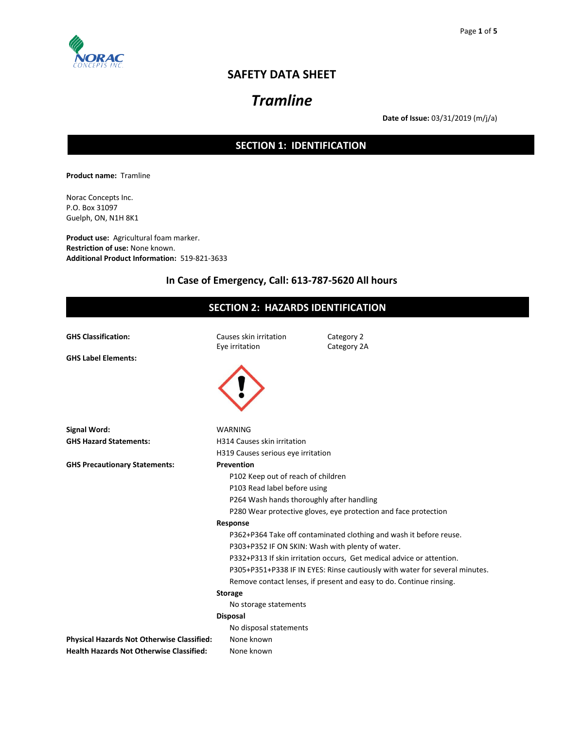

# **SAFETY DATA SHEET**

# *Tramline*

**Date of Issue:** 03/31/2019 (m/j/a)

# **SECTION 1: IDENTIFICATION**

**Product name:** Tramline

Norac Concepts Inc. P.O. Box 31097 Guelph, ON, N1H 8K1

**Product use:** Agricultural foam marker. **Restriction of use:** None known. **Additional Product Information:** 519-821-3633

# **In Case of Emergency, Call: 613-787-5620 All hours**

| <b>SECTION 2: HAZARDS IDENTIFICATION</b>        |                                                                       |                                                                             |  |  |
|-------------------------------------------------|-----------------------------------------------------------------------|-----------------------------------------------------------------------------|--|--|
| <b>GHS Classification:</b>                      | Causes skin irritation                                                | Category 2                                                                  |  |  |
|                                                 | Eye irritation                                                        | Category 2A                                                                 |  |  |
| <b>GHS Label Elements:</b>                      |                                                                       |                                                                             |  |  |
|                                                 |                                                                       |                                                                             |  |  |
|                                                 |                                                                       |                                                                             |  |  |
|                                                 |                                                                       |                                                                             |  |  |
|                                                 |                                                                       |                                                                             |  |  |
|                                                 |                                                                       |                                                                             |  |  |
| <b>Signal Word:</b>                             | <b>WARNING</b>                                                        |                                                                             |  |  |
| <b>GHS Hazard Statements:</b>                   | H314 Causes skin irritation                                           |                                                                             |  |  |
|                                                 | H319 Causes serious eye irritation                                    |                                                                             |  |  |
| <b>GHS Precautionary Statements:</b>            | <b>Prevention</b>                                                     |                                                                             |  |  |
|                                                 | P102 Keep out of reach of children                                    |                                                                             |  |  |
|                                                 | P103 Read label before using                                          |                                                                             |  |  |
|                                                 | P264 Wash hands thoroughly after handling                             |                                                                             |  |  |
|                                                 | P280 Wear protective gloves, eye protection and face protection       |                                                                             |  |  |
|                                                 | Response                                                              |                                                                             |  |  |
|                                                 | P362+P364 Take off contaminated clothing and wash it before reuse.    |                                                                             |  |  |
|                                                 | P303+P352 IF ON SKIN: Wash with plenty of water.                      |                                                                             |  |  |
|                                                 | P332+P313 If skin irritation occurs, Get medical advice or attention. |                                                                             |  |  |
|                                                 |                                                                       | P305+P351+P338 IF IN EYES: Rinse cautiously with water for several minutes. |  |  |
|                                                 |                                                                       | Remove contact lenses, if present and easy to do. Continue rinsing.         |  |  |
|                                                 | <b>Storage</b>                                                        |                                                                             |  |  |
|                                                 | No storage statements                                                 |                                                                             |  |  |
|                                                 | <b>Disposal</b>                                                       |                                                                             |  |  |
|                                                 | No disposal statements                                                |                                                                             |  |  |
| Physical Hazards Not Otherwise Classified:      | None known                                                            |                                                                             |  |  |
| <b>Health Hazards Not Otherwise Classified:</b> | None known                                                            |                                                                             |  |  |
|                                                 |                                                                       |                                                                             |  |  |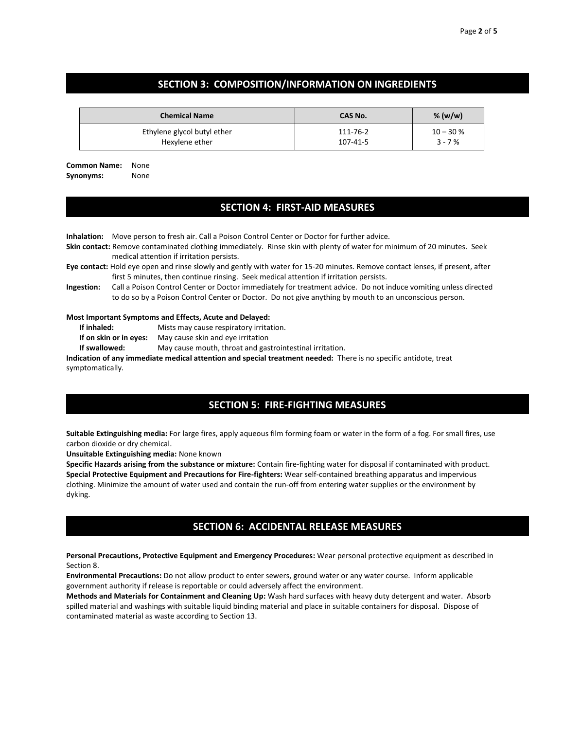### **SECTION 3: COMPOSITION/INFORMATION ON INGREDIENTS**

| <b>Chemical Name</b>        | <b>CAS No.</b> | % $(w/w)$  |
|-----------------------------|----------------|------------|
| Ethylene glycol butyl ether | 111-76-2       | $10 - 30%$ |
| Hexylene ether              | 107-41-5       | $3 - 7%$   |

**Common Name:** None **Synonyms:** None

### **SECTION 4: FIRST-AID MEASURES**

**Inhalation:** Move person to fresh air. Call a Poison Control Center or Doctor for further advice.

- **Skin contact:** Remove contaminated clothing immediately. Rinse skin with plenty of water for minimum of 20 minutes. Seek medical attention if irritation persists.
- **Eye contact:** Hold eye open and rinse slowly and gently with water for 15-20 minutes. Remove contact lenses, if present, after first 5 minutes, then continue rinsing. Seek medical attention if irritation persists.
- **Ingestion:** Call a Poison Control Center or Doctor immediately for treatment advice. Do not induce vomiting unless directed to do so by a Poison Control Center or Doctor. Do not give anything by mouth to an unconscious person.

#### **Most Important Symptoms and Effects, Acute and Delayed:**

- **If inhaled:** Mists may cause respiratory irritation.
- **If on skin or in eyes:** May cause skin and eye irritation

**If swallowed:** May cause mouth, throat and gastrointestinal irritation.

**Indication of any immediate medical attention and special treatment needed:** There is no specific antidote, treat symptomatically.

### **SECTION 5: FIRE-FIGHTING MEASURES**

**Suitable Extinguishing media:** For large fires, apply aqueous film forming foam or water in the form of a fog. For small fires, use carbon dioxide or dry chemical.

**Unsuitable Extinguishing media:** None known

**Specific Hazards arising from the substance or mixture:** Contain fire-fighting water for disposal if contaminated with product. **Special Protective Equipment and Precautions for Fire-fighters:** Wear self-contained breathing apparatus and impervious clothing. Minimize the amount of water used and contain the run-off from entering water supplies or the environment by dyking.

# **SECTION 6: ACCIDENTAL RELEASE MEASURES**

**Personal Precautions, Protective Equipment and Emergency Procedures:** Wear personal protective equipment as described in Section 8.

**Environmental Precautions:** Do not allow product to enter sewers, ground water or any water course. Inform applicable government authority if release is reportable or could adversely affect the environment.

**Methods and Materials for Containment and Cleaning Up:** Wash hard surfaces with heavy duty detergent and water. Absorb spilled material and washings with suitable liquid binding material and place in suitable containers for disposal. Dispose of contaminated material as waste according to Section 13.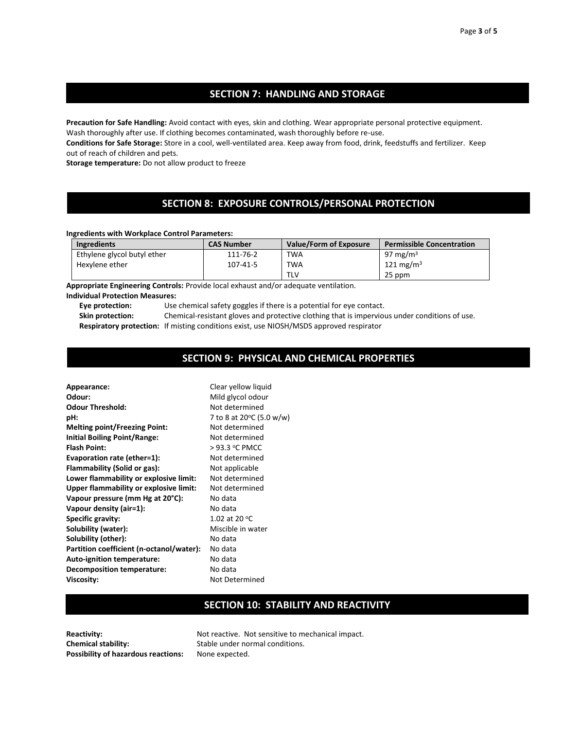### **SECTION 7: HANDLING AND STORAGE**

**Precaution for Safe Handling:** Avoid contact with eyes, skin and clothing. Wear appropriate personal protective equipment. Wash thoroughly after use. If clothing becomes contaminated, wash thoroughly before re-use.

**Conditions for Safe Storage:** Store in a cool, well-ventilated area. Keep away from food, drink, feedstuffs and fertilizer. Keep out of reach of children and pets.

**Storage temperature:** Do not allow product to freeze

# **SECTION 8: EXPOSURE CONTROLS/PERSONAL PROTECTION**

#### **Ingredients with Workplace Control Parameters:**

| <b>Ingredients</b>          | <b>CAS Number</b> | Value/Form of Exposure | <b>Permissible Concentration</b> |
|-----------------------------|-------------------|------------------------|----------------------------------|
| Ethylene glycol butyl ether | 111-76-2          | <b>TWA</b>             | 97 mg/m $3$                      |
| Hexylene ether              | 107-41-5          | <b>TWA</b>             | 121 mg/m <sup>3</sup>            |
|                             |                   | TLV                    | 25 ppm                           |

**Appropriate Engineering Controls:** Provide local exhaust and/or adequate ventilation.

#### **Individual Protection Measures:**

**Eye protection:** Use chemical safety goggles if there is a potential for eye contact.

**Skin protection:** Chemical-resistant gloves and protective clothing that is impervious under conditions of use.

**Respiratory protection:** If misting conditions exist, use NIOSH/MSDS approved respirator

#### **SECTION 9: PHYSICAL AND CHEMICAL PROPERTIES**

**Appearance:** Clear yellow liquid **Odour:** Mild glycol odour **Odour Threshold:** Not determined **pH:** 7 to 8 at 20 $\degree$ C (5.0 w/w) **Melting point/Freezing Point:** Not determined **Initial Boiling Point/Range:** Not determined **Flash Point:**  $>93.3$  °C PMCC **Evaporation rate (ether=1):** Not determined **Flammability (Solid or gas):** Not applicable **Lower flammability or explosive limit:** Not determined **Upper flammability or explosive limit:** Not determined **Vapour pressure (mm Hg at 20°C):** No data **Vapour density (air=1):** No data **Specific gravity:** 1.02 at 20 °C **Solubility (water):** Miscible in water **Solubility (other):** No data Partition coefficient (n-octanol/water): No data Auto-ignition temperature: No data **Decomposition temperature:** No data **Viscosity:** Not Determined

# **SECTION 10: STABILITY AND REACTIVITY**

**Chemical stability:** Stable under normal conditions. **Possibility of hazardous reactions:** None expected.

**Reactivity:** Not reactive. Not sensitive to mechanical impact.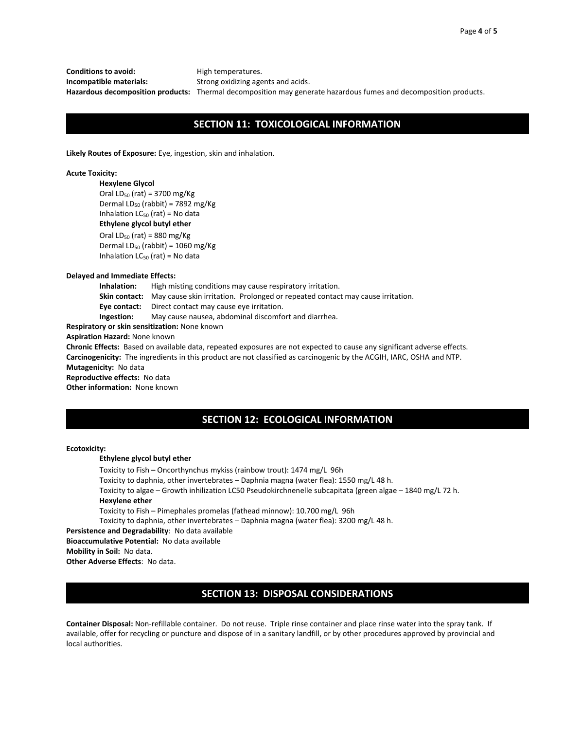**Conditions to avoid:** High temperatures.

**Incompatible materials:** Strong oxidizing agents and acids. **Hazardous decomposition products:** Thermal decomposition may generate hazardous fumes and decomposition products.

### **SECTION 11: TOXICOLOGICAL INFORMATION**

**Likely Routes of Exposure:** Eye, ingestion, skin and inhalation.

#### **Acute Toxicity:**

**Hexylene Glycol** Oral  $LD_{50}$  (rat) = 3700 mg/Kg Dermal LD $_{50}$  (rabbit) = 7892 mg/Kg Inhalation  $LC_{50}$  (rat) = No data **Ethylene glycol butyl ether**

Oral  $LD_{50}$  (rat) = 880 mg/Kg Dermal LD $_{50}$  (rabbit) = 1060 mg/Kg Inhalation  $LC_{50}$  (rat) = No data

#### **Delayed and Immediate Effects:**

**Inhalation:** High misting conditions may cause respiratory irritation.

**Skin contact:** May cause skin irritation. Prolonged or repeated contact may cause irritation.

**Eye contact:** Direct contact may cause eye irritation.

**Ingestion:** May cause nausea, abdominal discomfort and diarrhea.

**Respiratory or skin sensitization:** None known

**Aspiration Hazard:** None known

**Chronic Effects:** Based on available data, repeated exposures are not expected to cause any significant adverse effects. **Carcinogenicity:** The ingredients in this product are not classified as carcinogenic by the ACGIH, IARC, OSHA and NTP.

**Mutagenicity:** No data

**Reproductive effects:** No data

**Other information:** None known

### **SECTION 12: ECOLOGICAL INFORMATION**

#### **Ecotoxicity:**

#### **Ethylene glycol butyl ether**

Toxicity to Fish – Oncorthynchus mykiss (rainbow trout): 1474 mg/L 96h Toxicity to daphnia, other invertebrates – Daphnia magna (water flea): 1550 mg/L 48 h. Toxicity to algae – Growth inhilization LC50 Pseudokirchnenelle subcapitata (green algae – 1840 mg/L 72 h. **Hexylene ether** Toxicity to Fish – Pimephales promelas (fathead minnow): 10.700 mg/L 96h

Toxicity to daphnia, other invertebrates – Daphnia magna (water flea): 3200 mg/L 48 h.

**Persistence and Degradability**: No data available

**Bioaccumulative Potential:** No data available

**Mobility in Soil:** No data.

**Other Adverse Effects**: No data.

# **SECTION 13: DISPOSAL CONSIDERATIONS**

**Container Disposal:** Non-refillable container. Do not reuse. Triple rinse container and place rinse water into the spray tank. If available, offer for recycling or puncture and dispose of in a sanitary landfill, or by other procedures approved by provincial and local authorities.